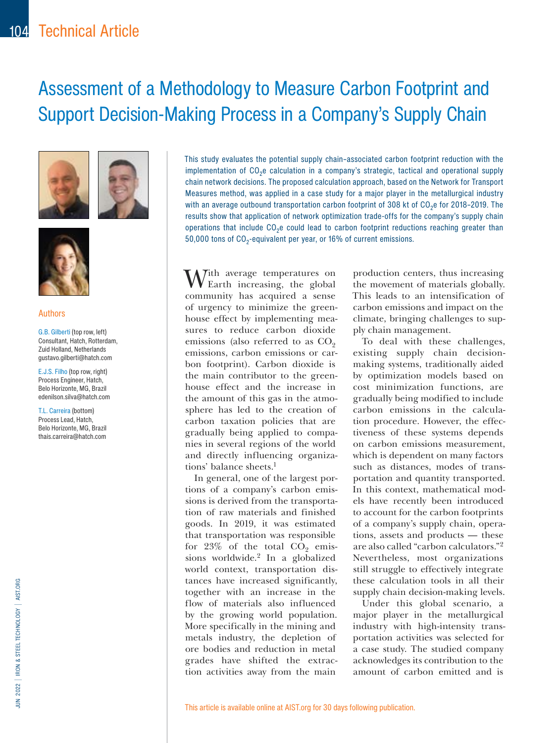# Assessment of a Methodology to Measure Carbon Footprint and Support Decision-Making Process in a Company's Supply Chain







#### Authors

G.B. Gilberti (top row, left) Consultant, Hatch, Rotterdam, Zuid Holland, Netherlands gustavo.gilberti@hatch.com

E.J.S. Filho (top row, right) Process Engineer, Hatch, Belo Horizonte, MG, Brazil edenilson.silva@hatch.com

T.L. Carreira (bottom) Process Lead, Hatch, Belo Horizonte, MG, Brazil thais.carreira@hatch.com

This study evaluates the potential supply chain–associated carbon footprint reduction with the implementation of CO<sub>2</sub>e calculation in a company's strategic, tactical and operational supply chain network decisions. The proposed calculation approach, based on the Network for Transport Measures method, was applied in a case study for a major player in the metallurgical industry with an average outbound transportation carbon footprint of 308 kt of  $CO<sub>2</sub>e$  for 2018–2019. The results show that application of network optimization trade-offs for the company's supply chain operations that include CO<sub>2</sub>e could lead to carbon footprint reductions reaching greater than 50,000 tons of  $CO<sub>2</sub>$ -equivalent per year, or 16% of current emissions.

 $\bigwedge$ Tith average temperatures on Earth increasing, the global community has acquired a sense of urgency to minimize the greenhouse effect by implementing measures to reduce carbon dioxide emissions (also referred to as  $CO<sub>2</sub>$ emissions, carbon emissions or carbon footprint). Carbon dioxide is the main contributor to the greenhouse effect and the increase in the amount of this gas in the atmosphere has led to the creation of carbon taxation policies that are gradually being applied to companies in several regions of the world and directly influencing organizations' balance sheets.1

In general, one of the largest portions of a company's carbon emissions is derived from the transportation of raw materials and finished goods. In 2019, it was estimated that transportation was responsible for  $23\%$  of the total  $CO<sub>2</sub>$  emissions worldwide.2 In a globalized world context, transportation distances have increased significantly, together with an increase in the flow of materials also influenced by the growing world population. More specifically in the mining and metals industry, the depletion of ore bodies and reduction in metal grades have shifted the extraction activities away from the main

production centers, thus increasing the movement of materials globally. This leads to an intensification of carbon emissions and impact on the climate, bringing challenges to supply chain management.

To deal with these challenges, existing supply chain decisionmaking systems, traditionally aided by optimization models based on cost minimization functions, are gradually being modified to include carbon emissions in the calculation procedure. However, the effectiveness of these systems depends on carbon emissions measurement, which is dependent on many factors such as distances, modes of transportation and quantity transported. In this context, mathematical models have recently been introduced to account for the carbon footprints of a company's supply chain, operations, assets and products — these are also called "carbon calculators."2 Nevertheless, most organizations still struggle to effectively integrate these calculation tools in all their supply chain decision-making levels.

Under this global scenario, a major player in the metallurgical industry with high-intensity transportation activities was selected for a case study. The studied company acknowledges its contribution to the amount of carbon emitted and is

This article is available online at AIST.org for 30 days following publication.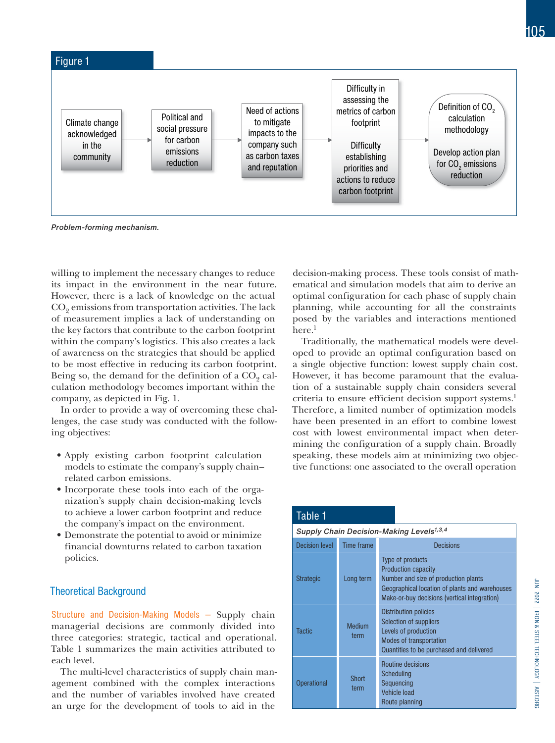

Problem-forming mechanism.

willing to implement the necessary changes to reduce its impact in the environment in the near future. However, there is a lack of knowledge on the actual  $CO<sub>9</sub>$  emissions from transportation activities. The lack of measurement implies a lack of understanding on the key factors that contribute to the carbon footprint within the company's logistics. This also creates a lack of awareness on the strategies that should be applied to be most effective in reducing its carbon footprint. Being so, the demand for the definition of a  $CO<sub>9</sub>$  calculation methodology becomes important within the company, as depicted in Fig. 1.

In order to provide a way of overcoming these challenges, the case study was conducted with the following objectives:

- Apply existing carbon footprint calculation models to estimate the company's supply chain– related carbon emissions.
- Incorporate these tools into each of the organization's supply chain decision-making levels to achieve a lower carbon footprint and reduce the company's impact on the environment.
- Demonstrate the potential to avoid or minimize financial downturns related to carbon taxation policies.

#### Theoretical Background

Structure and Decision-Making Models — Supply chain managerial decisions are commonly divided into three categories: strategic, tactical and operational. Table 1 summarizes the main activities attributed to each level.

The multi-level characteristics of supply chain management combined with the complex interactions and the number of variables involved have created an urge for the development of tools to aid in the

decision-making process. These tools consist of mathematical and simulation models that aim to derive an optimal configuration for each phase of supply chain planning, while accounting for all the constraints posed by the variables and interactions mentioned here.<sup>1</sup>

Traditionally, the mathematical models were developed to provide an optimal configuration based on a single objective function: lowest supply chain cost. However, it has become paramount that the evaluation of a sustainable supply chain considers several criteria to ensure efficient decision support systems.<sup>1</sup> Therefore, a limited number of optimization models have been presented in an effort to combine lowest cost with lowest environmental impact when determining the configuration of a supply chain. Broadly speaking, these models aim at minimizing two objective functions: one associated to the overall operation

| Table 1                                              |                      |                                                                                                                                                                                          |  |  |  |
|------------------------------------------------------|----------------------|------------------------------------------------------------------------------------------------------------------------------------------------------------------------------------------|--|--|--|
| Supply Chain Decision-Making Levels <sup>1,3,4</sup> |                      |                                                                                                                                                                                          |  |  |  |
| <b>Decision level</b>                                | Time frame           | Decisions                                                                                                                                                                                |  |  |  |
| <b>Strategic</b>                                     | Long term            | Type of products<br><b>Production capacity</b><br>Number and size of production plants<br>Geographical location of plants and warehouses<br>Make-or-buy decisions (vertical integration) |  |  |  |
| <b>Tactic</b>                                        | Medium<br>term       | <b>Distribution policies</b><br>Selection of suppliers<br>Levels of production<br><b>Modes of transportation</b><br>Quantities to be purchased and delivered                             |  |  |  |
| <b>Operational</b>                                   | <b>Short</b><br>term | Routine decisions<br>Scheduling<br>Sequencing<br>Vehicle load<br>Route planning                                                                                                          |  |  |  |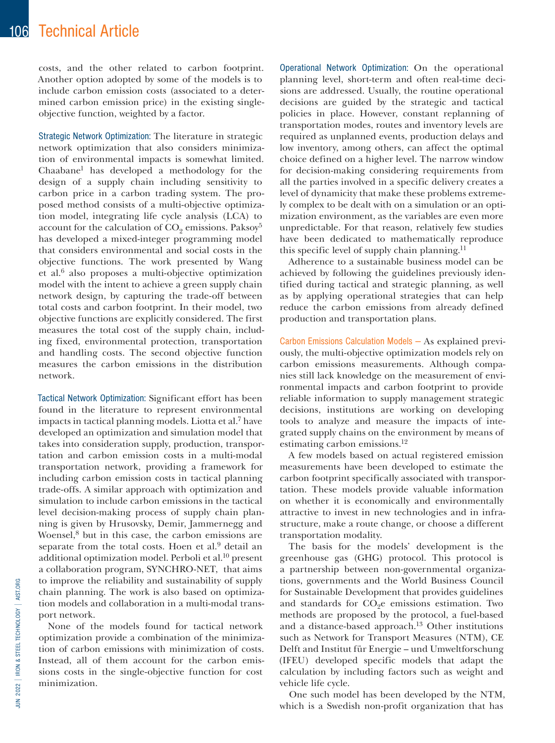costs, and the other related to carbon footprint. Another option adopted by some of the models is to include carbon emission costs (associated to a determined carbon emission price) in the existing singleobjective function, weighted by a factor.

Strategic Network Optimization: The literature in strategic network optimization that also considers minimization of environmental impacts is somewhat limited. Chaabane1 has developed a methodology for the design of a supply chain including sensitivity to carbon price in a carbon trading system. The proposed method consists of a multi-objective optimization model, integrating life cycle analysis (LCA) to account for the calculation of  $CO<sub>9</sub>$  emissions. Paksoy<sup>5</sup> has developed a mixed-integer programming model that considers environmental and social costs in the objective functions. The work presented by Wang et al.6 also proposes a multi-objective optimization model with the intent to achieve a green supply chain network design, by capturing the trade-off between total costs and carbon footprint. In their model, two objective functions are explicitly considered. The first measures the total cost of the supply chain, including fixed, environmental protection, transportation and handling costs. The second objective function measures the carbon emissions in the distribution network.

Tactical Network Optimization: Significant effort has been found in the literature to represent environmental impacts in tactical planning models. Liotta et al.7 have developed an optimization and simulation model that takes into consideration supply, production, transportation and carbon emission costs in a multi-modal transportation network, providing a framework for including carbon emission costs in tactical planning trade-offs. A similar approach with optimization and simulation to include carbon emissions in the tactical level decision-making process of supply chain planning is given by Hrusovsky, Demir, Jammernegg and Woensel,<sup>8</sup> but in this case, the carbon emissions are separate from the total costs. Hoen et al.<sup>9</sup> detail an additional optimization model. Perboli et al.10 present a collaboration program, SYNCHRO-NET, that aims to improve the reliability and sustainability of supply chain planning. The work is also based on optimization models and collaboration in a multi-modal transport network.

None of the models found for tactical network optimization provide a combination of the minimization of carbon emissions with minimization of costs. Instead, all of them account for the carbon emissions costs in the single-objective function for cost minimization.

Operational Network Optimization: On the operational planning level, short-term and often real-time decisions are addressed. Usually, the routine operational decisions are guided by the strategic and tactical policies in place. However, constant replanning of transportation modes, routes and inventory levels are required as unplanned events, production delays and low inventory, among others, can affect the optimal choice defined on a higher level. The narrow window for decision-making considering requirements from all the parties involved in a specific delivery creates a level of dynamicity that make these problems extremely complex to be dealt with on a simulation or an optimization environment, as the variables are even more unpredictable. For that reason, relatively few studies have been dedicated to mathematically reproduce this specific level of supply chain planning.<sup>11</sup>

Adherence to a sustainable business model can be achieved by following the guidelines previously identified during tactical and strategic planning, as well as by applying operational strategies that can help reduce the carbon emissions from already defined production and transportation plans.

Carbon Emissions Calculation Models — As explained previously, the multi-objective optimization models rely on carbon emissions measurements. Although companies still lack knowledge on the measurement of environmental impacts and carbon footprint to provide reliable information to supply management strategic decisions, institutions are working on developing tools to analyze and measure the impacts of integrated supply chains on the environment by means of estimating carbon emissions.12

A few models based on actual registered emission measurements have been developed to estimate the carbon footprint specifically associated with transportation. These models provide valuable information on whether it is economically and environmentally attractive to invest in new technologies and in infrastructure, make a route change, or choose a different transportation modality.

The basis for the models' development is the greenhouse gas (GHG) protocol. This protocol is a partnership between non-governmental organizations, governments and the World Business Council for Sustainable Development that provides guidelines and standards for  $CO<sub>9</sub>e$  emissions estimation. Two methods are proposed by the protocol, a fuel-based and a distance-based approach.13 Other institutions such as Network for Transport Measures (NTM), CE Delft and Institut für Energie – und Umweltforschung (IFEU) developed specific models that adapt the calculation by including factors such as weight and vehicle life cycle.

One such model has been developed by the NTM, which is a Swedish non-profit organization that has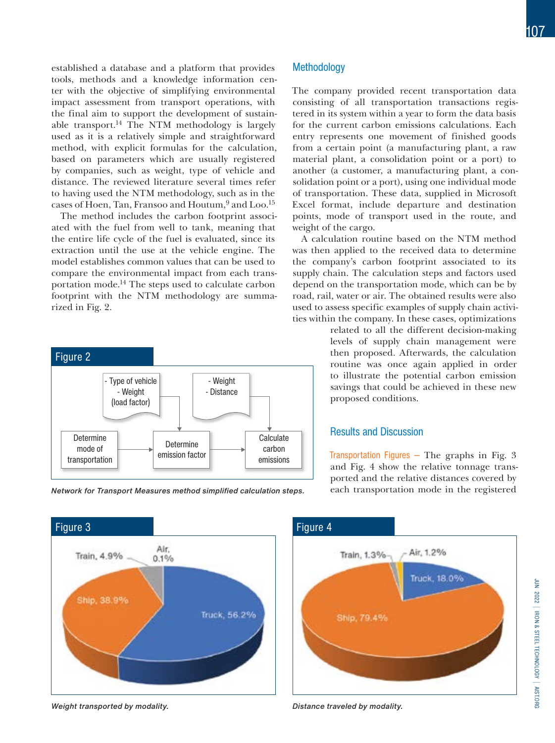established a database and a platform that provides tools, methods and a knowledge information center with the objective of simplifying environmental impact assessment from transport operations, with the final aim to support the development of sustainable transport.14 The NTM methodology is largely used as it is a relatively simple and straightforward method, with explicit formulas for the calculation, based on parameters which are usually registered by companies, such as weight, type of vehicle and distance. The reviewed literature several times refer to having used the NTM methodology, such as in the cases of Hoen, Tan, Fransoo and Houtum,<sup>9</sup> and Loo.<sup>15</sup>

The method includes the carbon footprint associated with the fuel from well to tank, meaning that the entire life cycle of the fuel is evaluated, since its extraction until the use at the vehicle engine. The model establishes common values that can be used to compare the environmental impact from each transportation mode.14 The steps used to calculate carbon footprint with the NTM methodology are summarized in Fig. 2.



Network for Transport Measures method simplified calculation steps. each transportation mode in the registered

#### **Methodology**

The company provided recent transportation data consisting of all transportation transactions registered in its system within a year to form the data basis for the current carbon emissions calculations. Each entry represents one movement of finished goods from a certain point (a manufacturing plant, a raw material plant, a consolidation point or a port) to another (a customer, a manufacturing plant, a consolidation point or a port), using one individual mode of transportation. These data, supplied in Microsoft Excel format, include departure and destination points, mode of transport used in the route, and weight of the cargo.

A calculation routine based on the NTM method was then applied to the received data to determine the company's carbon footprint associated to its supply chain. The calculation steps and factors used depend on the transportation mode, which can be by road, rail, water or air. The obtained results were also used to assess specific examples of supply chain activities within the company. In these cases, optimizations

> related to all the different decision-making levels of supply chain management were then proposed. Afterwards, the calculation routine was once again applied in order to illustrate the potential carbon emission savings that could be achieved in these new proposed conditions.

#### Results and Discussion

Transportation Figures  $-$  The graphs in Fig. 3 and Fig. 4 show the relative tonnage transported and the relative distances covered by



Weight transported by modality.



Distance traveled by modality.

Figure 4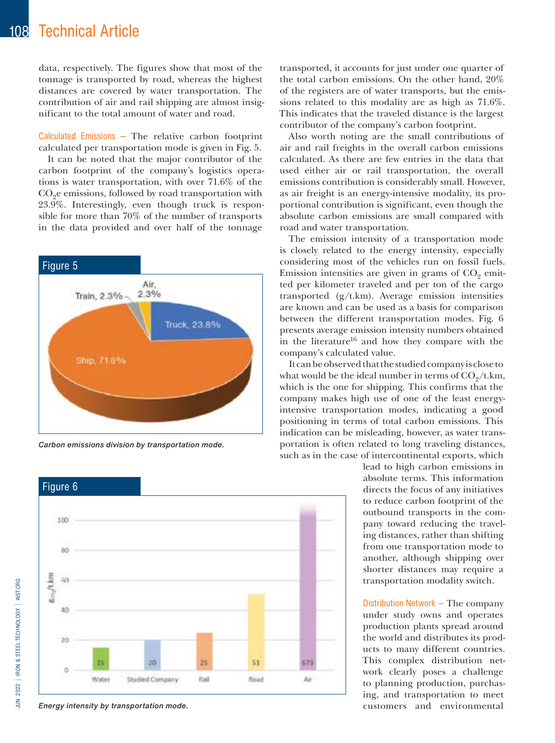### 108 Technical Article

data, respectively. The figures show that most of the tonnage is transported by road, whereas the highest distances are covered by water transportation. The contribution of air and rail shipping are almost insignificant to the total amount of water and road.

Calculated Emissions — The relative carbon footprint calculated per transportation mode is given in Fig. 5.

It can be noted that the major contributor of the carbon footprint of the company's logistics operations is water transportation, with over 71.6% of the  $CO<sub>9</sub>e$  emissions, followed by road transportation with 23.9%. Interestingly, even though truck is responsible for more than 70% of the number of transports in the data provided and over half of the tonnage



Carbon emissions division by transportation mode.



transported, it accounts for just under one quarter of the total carbon emissions. On the other hand, 20% of the registers are of water transports, but the emissions related to this modality are as high as 71.6%. This indicates that the traveled distance is the largest contributor of the company's carbon footprint.

Also worth noting are the small contributions of air and rail freights in the overall carbon emissions calculated. As there are few entries in the data that used either air or rail transportation, the overall emissions contribution is considerably small. However, as air freight is an energy-intensive modality, its proportional contribution is significant, even though the absolute carbon emissions are small compared with road and water transportation.

The emission intensity of a transportation mode is closely related to the energy intensity, especially considering most of the vehicles run on fossil fuels. Emission intensities are given in grams of  $CO<sub>2</sub>$  emitted per kilometer traveled and per ton of the cargo transported (g/t.km). Average emission intensities are known and can be used as a basis for comparison between the different transportation modes. Fig. 6 presents average emission intensity numbers obtained in the literature<sup>16</sup> and how they compare with the company's calculated value.

It can be observed that the studied company is close to what would be the ideal number in terms of  $CO<sub>9</sub>/t.km$ , which is the one for shipping. This confirms that the company makes high use of one of the least energyintensive transportation modes, indicating a good positioning in terms of total carbon emissions. This indication can be misleading, however, as water transportation is often related to long traveling distances, such as in the case of intercontinental exports, which

> lead to high carbon emissions in absolute terms. This information directs the focus of any initiatives to reduce carbon footprint of the outbound transports in the company toward reducing the traveling distances, rather than shifting from one transportation mode to another, although shipping over shorter distances may require a transportation modality switch.

> Distribution Network — The company under study owns and operates production plants spread around the world and distributes its products to many different countries. This complex distribution network clearly poses a challenge to planning production, purchasing, and transportation to meet

Energy intensity by transportation mode. The same state of the customers and environmental environmental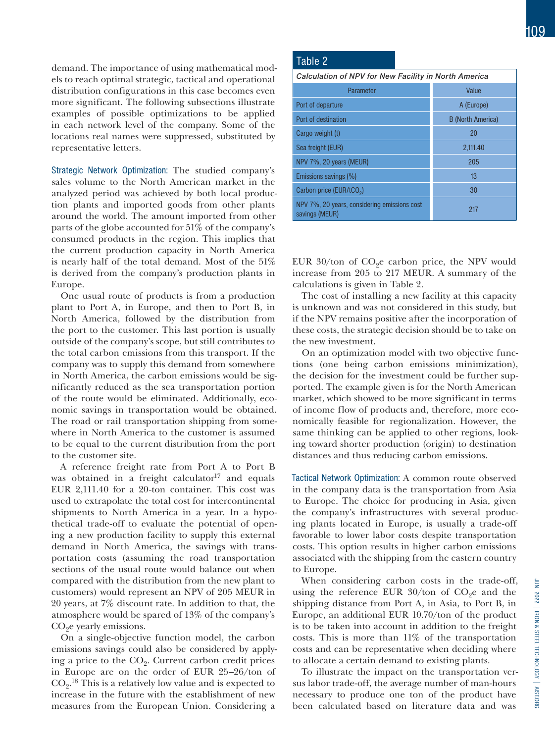demand. The importance of using mathematical models to reach optimal strategic, tactical and operational distribution configurations in this case becomes even more significant. The following subsections illustrate examples of possible optimizations to be applied in each network level of the company. Some of the locations real names were suppressed, substituted by representative letters.

Strategic Network Optimization: The studied company's sales volume to the North American market in the analyzed period was achieved by both local production plants and imported goods from other plants around the world. The amount imported from other parts of the globe accounted for 51% of the company's consumed products in the region. This implies that the current production capacity in North America is nearly half of the total demand. Most of the 51% is derived from the company's production plants in Europe.

One usual route of products is from a production plant to Port A, in Europe, and then to Port B, in North America, followed by the distribution from the port to the customer. This last portion is usually outside of the company's scope, but still contributes to the total carbon emissions from this transport. If the company was to supply this demand from somewhere in North America, the carbon emissions would be significantly reduced as the sea transportation portion of the route would be eliminated. Additionally, economic savings in transportation would be obtained. The road or rail transportation shipping from somewhere in North America to the customer is assumed to be equal to the current distribution from the port to the customer site.

A reference freight rate from Port A to Port B was obtained in a freight calculator<sup>17</sup> and equals EUR 2,111.40 for a 20-ton container. This cost was used to extrapolate the total cost for intercontinental shipments to North America in a year. In a hypothetical trade-off to evaluate the potential of opening a new production facility to supply this external demand in North America, the savings with transportation costs (assuming the road transportation sections of the usual route would balance out when compared with the distribution from the new plant to customers) would represent an NPV of 205 MEUR in 20 years, at 7% discount rate. In addition to that, the atmosphere would be spared of 13% of the company's  $CO<sub>9</sub>e$  yearly emissions.

On a single-objective function model, the carbon emissions savings could also be considered by applying a price to the  $CO<sub>9</sub>$ . Current carbon credit prices in Europe are on the order of EUR 25–26/ton of  $CO<sub>2</sub>$ .<sup>18</sup> This is a relatively low value and is expected to increase in the future with the establishment of new measures from the European Union. Considering a

#### Table 2

| Calculation of NPV for New Facility in North America           |                          |  |  |  |
|----------------------------------------------------------------|--------------------------|--|--|--|
| Parameter                                                      | Value                    |  |  |  |
| Port of departure                                              | A (Europe)               |  |  |  |
| Port of destination                                            | <b>B</b> (North America) |  |  |  |
| Cargo weight (t)                                               | 20                       |  |  |  |
| Sea freight (EUR)                                              | 2,111.40                 |  |  |  |
| NPV 7%, 20 years (MEUR)                                        | 205                      |  |  |  |
| Emissions savings (%)                                          | 13                       |  |  |  |
| Carbon price (EUR/tCO <sub>2</sub> )                           | 30                       |  |  |  |
| NPV 7%, 20 years, considering emissions cost<br>savings (MEUR) | 217                      |  |  |  |

EUR  $30$ /ton of CO<sub>2</sub>e carbon price, the NPV would increase from 205 to 217 MEUR. A summary of the calculations is given in Table 2.

The cost of installing a new facility at this capacity is unknown and was not considered in this study, but if the NPV remains positive after the incorporation of these costs, the strategic decision should be to take on the new investment.

On an optimization model with two objective functions (one being carbon emissions minimization), the decision for the investment could be further supported. The example given is for the North American market, which showed to be more significant in terms of income flow of products and, therefore, more economically feasible for regionalization. However, the same thinking can be applied to other regions, looking toward shorter production (origin) to destination distances and thus reducing carbon emissions.

Tactical Network Optimization: A common route observed in the company data is the transportation from Asia to Europe. The choice for producing in Asia, given the company's infrastructures with several producing plants located in Europe, is usually a trade-off favorable to lower labor costs despite transportation costs. This option results in higher carbon emissions associated with the shipping from the eastern country to Europe.

When considering carbon costs in the trade-off, using the reference EUR  $30/$ ton of CO<sub>9</sub>e and the shipping distance from Port A, in Asia, to Port B, in Europe, an additional EUR 10.70/ton of the product is to be taken into account in addition to the freight costs. This is more than 11% of the transportation costs and can be representative when deciding where to allocate a certain demand to existing plants.

To illustrate the impact on the transportation versus labor trade-off, the average number of man-hours necessary to produce one ton of the product have been calculated based on literature data and was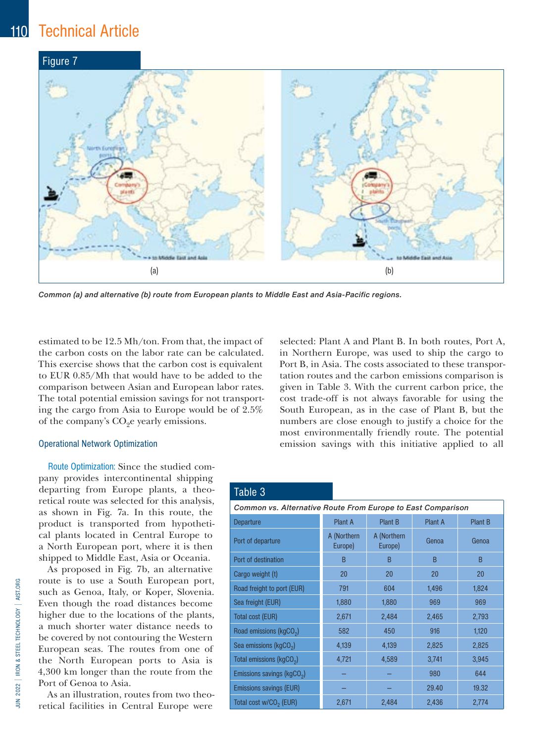## 110 Technical Article



Common (a) and alternative (b) route from European plants to Middle East and Asia-Pacific regions.

estimated to be 12.5 Mh/ton. From that, the impact of the carbon costs on the labor rate can be calculated. This exercise shows that the carbon cost is equivalent to EUR 0.85/Mh that would have to be added to the comparison between Asian and European labor rates. The total potential emission savings for not transporting the cargo from Asia to Europe would be of 2.5% of the company's  $CO<sub>9</sub>e$  yearly emissions.

#### Operational Network Optimization

Route Optimization: Since the studied company provides intercontinental shipping departing from Europe plants, a theoretical route was selected for this analysis, as shown in Fig. 7a. In this route, the product is transported from hypothetical plants located in Central Europe to a North European port, where it is then shipped to Middle East, Asia or Oceania.

As proposed in Fig. 7b, an alternative route is to use a South European port, such as Genoa, Italy, or Koper, Slovenia. Even though the road distances become higher due to the locations of the plants, a much shorter water distance needs to be covered by not contouring the Western European seas. The routes from one of the North European ports to Asia is 4,300 km longer than the route from the Port of Genoa to Asia.

As an illustration, routes from two theoretical facilities in Central Europe were

selected: Plant A and Plant B. In both routes, Port A, in Northern Europe, was used to ship the cargo to Port B, in Asia. The costs associated to these transportation routes and the carbon emissions comparison is given in Table 3. With the current carbon price, the cost trade-off is not always favorable for using the South European, as in the case of Plant B, but the numbers are close enough to justify a choice for the most environmentally friendly route. The potential emission savings with this initiative applied to all

### Table 3

| Common vs. Alternative Route From Europe to East Comparison |                        |                        |                |                |  |  |  |
|-------------------------------------------------------------|------------------------|------------------------|----------------|----------------|--|--|--|
| <b>Departure</b>                                            | Plant A                | Plant B                | <b>Plant A</b> | <b>Plant B</b> |  |  |  |
| Port of departure                                           | A (Northern<br>Europe) | A (Northern<br>Europe) | Genoa          | Genoa          |  |  |  |
| Port of destination                                         | B                      | B                      | B              | B              |  |  |  |
| Cargo weight (t)                                            | 20                     | 20                     | 20             | 20             |  |  |  |
| Road freight to port (EUR)                                  | 791                    | 604                    | 1,496          | 1,824          |  |  |  |
| Sea freight (EUR)                                           | 1,880                  | 1,880                  | 969            | 969            |  |  |  |
| Total cost (EUR)                                            | 2,671                  | 2,484                  | 2,465          | 2,793          |  |  |  |
| Road emissions (kgCO <sub>2</sub> )                         | 582                    | 450                    | 916            | 1,120          |  |  |  |
| Sea emissions (kgCO <sub>2</sub> )                          | 4,139                  | 4,139                  | 2,825          | 2,825          |  |  |  |
| Total emissions (kgCO <sub>2</sub> )                        | 4,721                  | 4,589                  | 3,741          | 3,945          |  |  |  |
| Emissions savings (kgCO <sub>2</sub> )                      |                        |                        | 980            | 644            |  |  |  |
| Emissions savings (EUR)                                     |                        |                        | 29.40          | 19.32          |  |  |  |
| Total cost w/CO <sub>2</sub> (EUR)                          | 2,671                  | 2,484                  | 2,436          | 2,774          |  |  |  |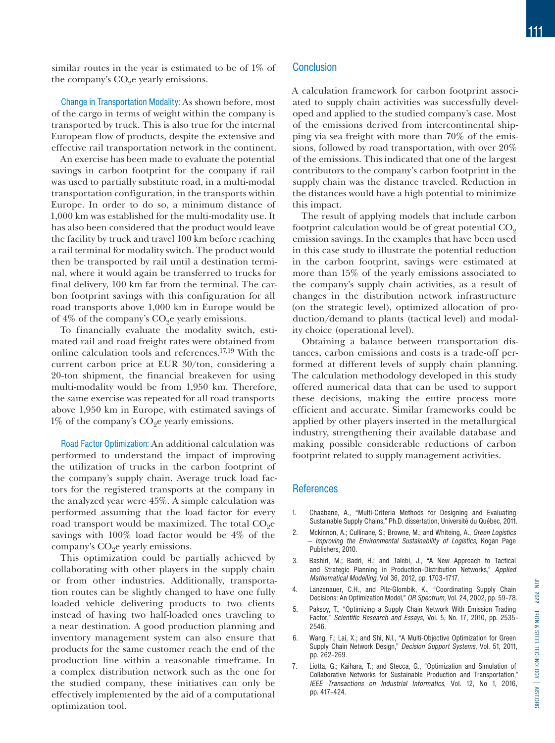similar routes in the year is estimated to be of 1% of the company's  $CO<sub>9</sub>e$  yearly emissions.

Change in Transportation Modality: As shown before, most of the cargo in terms of weight within the company is transported by truck. This is also true for the internal European flow of products, despite the extensive and effective rail transportation network in the continent.

An exercise has been made to evaluate the potential savings in carbon footprint for the company if rail was used to partially substitute road, in a multi-modal transportation configuration, in the transports within Europe. In order to do so, a minimum distance of 1,000 km was established for the multi-modality use. It has also been considered that the product would leave the facility by truck and travel 100 km before reaching a rail terminal for modality switch. The product would then be transported by rail until a destination terminal, where it would again be transferred to trucks for final delivery, 100 km far from the terminal. The carbon footprint savings with this configuration for all road transports above 1,000 km in Europe would be of  $4\%$  of the company's  $CO<sub>9</sub>e$  yearly emissions.

To financially evaluate the modality switch, estimated rail and road freight rates were obtained from online calculation tools and references.17,19 With the current carbon price at EUR 30/ton, considering a 20-ton shipment, the financial breakeven for using multi-modality would be from 1,950 km. Therefore, the same exercise was repeated for all road transports above 1,950 km in Europe, with estimated savings of  $1\%$  of the company's  $CO<sub>9</sub>e$  yearly emissions.

Road Factor Optimization: An additional calculation was performed to understand the impact of improving the utilization of trucks in the carbon footprint of the company's supply chain. Average truck load factors for the registered transports at the company in the analyzed year were 45%. A simple calculation was performed assuming that the load factor for every road transport would be maximized. The total  $CO<sub>9</sub>e$ savings with 100% load factor would be 4% of the company's  $CO<sub>9</sub>e$  yearly emissions.

This optimization could be partially achieved by collaborating with other players in the supply chain or from other industries. Additionally, transportation routes can be slightly changed to have one fully loaded vehicle delivering products to two clients instead of having two half-loaded ones traveling to a near destination. A good production planning and inventory management system can also ensure that products for the same customer reach the end of the production line within a reasonable timeframe. In a complex distribution network such as the one for the studied company, these initiatives can only be effectively implemented by the aid of a computational optimization tool.

### **Conclusion**

A calculation framework for carbon footprint associated to supply chain activities was successfully developed and applied to the studied company's case. Most of the emissions derived from intercontinental shipping via sea freight with more than 70% of the emissions, followed by road transportation, with over 20% of the emissions. This indicated that one of the largest contributors to the company's carbon footprint in the supply chain was the distance traveled. Reduction in the distances would have a high potential to minimize this impact.

The result of applying models that include carbon footprint calculation would be of great potential  $CO<sub>2</sub>$ emission savings. In the examples that have been used in this case study to illustrate the potential reduction in the carbon footprint, savings were estimated at more than 15% of the yearly emissions associated to the company's supply chain activities, as a result of changes in the distribution network infrastructure (on the strategic level), optimized allocation of production/demand to plants (tactical level) and modality choice (operational level).

Obtaining a balance between transportation distances, carbon emissions and costs is a trade-off performed at different levels of supply chain planning. The calculation methodology developed in this study offered numerical data that can be used to support these decisions, making the entire process more efficient and accurate. Similar frameworks could be applied by other players inserted in the metallurgical industry, strengthening their available database and making possible considerable reductions of carbon footprint related to supply management activities.

#### **References**

- 1. Chaabane, A., "Multi-Criteria Methods for Designing and Evaluating Sustainable Supply Chains," Ph.D. dissertation, Université du Québec, 2011.
- 2. Mckinnon, A.; Cullinane, S.; Browne, M.; and Whiteing, A., Green Logistics — Improving the Environmental Sustainability of Logistics, Kogan Page Publishers, 2010.
- 3. Bashiri, M.; Badri, H.; and Talebi, J., "A New Approach to Tactical and Strategic Planning in Production–Distribution Networks," Applied Mathematical Modelling, Vol 36, 2012, pp. 1703–1717.
- 4. Lanzenauer, C.H., and Pilz-Glombik, K., "Coordinating Supply Chain Decisions: An Optimization Model," OR Spectrum, Vol. 24, 2002, pp. 59–78.
- 5. Paksoy, T., "Optimizing a Supply Chain Network With Emission Trading Factor," Scientific Research and Essays, Vol. 5, No. 17, 2010, pp. 2535– 2546.
- 6. Wang, F.; Lai, X.; and Shi, N.l., "A Multi-Objective Optimization for Green Supply Chain Network Design," Decision Support Systems, Vol. 51, 2011, pp. 262–269.
- 7. Liotta, G.; Kaihara, T.; and Stecca, G., "Optimization and Simulation of Collaborative Networks for Sustainable Production and Transportation," IEEE Transactions on Industrial Informatics, Vol. 12, No 1, 2016, pp. 417–424.

j